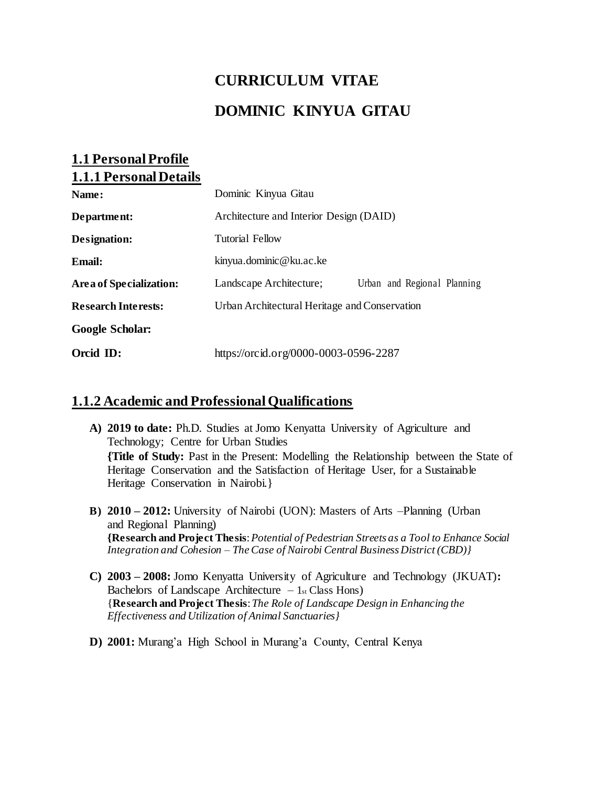# **CURRICULUM VITAE DOMINIC KINYUA GITAU**

## **1.1 Personal Profile 1.1.1 Personal Details**

| Name:                      | Dominic Kinyua Gitau                          |                             |  |
|----------------------------|-----------------------------------------------|-----------------------------|--|
| Department:                | Architecture and Interior Design (DAID)       |                             |  |
| Designation:               | Tutorial Fellow                               |                             |  |
| Email:                     | kinyua.dominic@ku.ac.ke                       |                             |  |
| Area of Specialization:    | Landscape Architecture;                       | Urban and Regional Planning |  |
| <b>Research Interests:</b> | Urban Architectural Heritage and Conservation |                             |  |
| Google Scholar:            |                                               |                             |  |
| Orcid ID:                  | https://orcid.org/0000-0003-0596-2287         |                             |  |

## **1.1.2 Academic and Professional Qualifications**

- **A) 2019 to date:** Ph.D. Studies at Jomo Kenyatta University of Agriculture and Technology; Centre for Urban Studies **{Title of Study:** Past in the Present: Modelling the Relationship between the State of Heritage Conservation and the Satisfaction of Heritage User, for a Sustainable Heritage Conservation in Nairobi.}
- **B) 2010 – 2012:** University of Nairobi (UON): Masters of Arts –Planning (Urban and Regional Planning) **{Research and Project Thesis**:*Potential of Pedestrian Streets as a Tool to Enhance Social Integration and Cohesion – The Case of Nairobi Central Business District (CBD)}*
- **C) 2003 – 2008:** Jomo Kenyatta University of Agriculture and Technology (JKUAT)**:**  Bachelors of Landscape Architecture  $-1$ <sub>st</sub> Class Hons) {**Research and Project Thesis**: *The Role of Landscape Design in Enhancing the Effectiveness and Utilization of Animal Sanctuaries}*
- **D) 2001:** Murang'a High School in Murang'a County, Central Kenya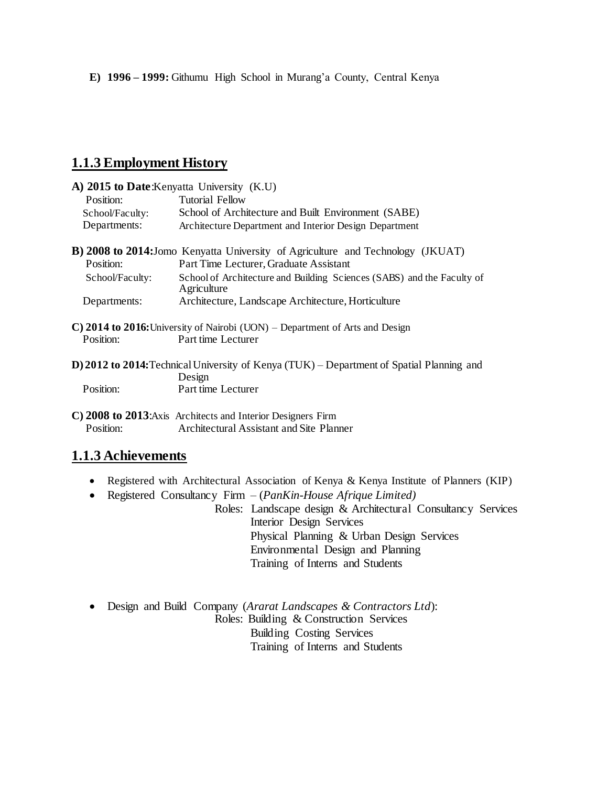## **1.1.3 Employment History**

|                 | A) 2015 to Date: Kenyatta University (K.U)                                                          |  |  |
|-----------------|-----------------------------------------------------------------------------------------------------|--|--|
| Position:       | <b>Tutorial Fellow</b>                                                                              |  |  |
| School/Faculty: | School of Architecture and Built Environment (SABE)                                                 |  |  |
| Departments:    | Architecture Department and Interior Design Department                                              |  |  |
|                 | <b>B) 2008 to 2014:</b> Jomo Kenyatta University of Agriculture and Technology (JKUAT)              |  |  |
| Position:       | Part Time Lecturer, Graduate Assistant                                                              |  |  |
| School/Faculty: | School of Architecture and Building Sciences (SABS) and the Faculty of<br>Agriculture               |  |  |
| Departments:    | Architecture, Landscape Architecture, Horticulture                                                  |  |  |
|                 | $\mathbf{C}$ ) 2014 to 2016: University of Nairobi (UON) – Department of Arts and Design            |  |  |
| Position:       | Part time Lecturer                                                                                  |  |  |
|                 | D) 2012 to 2014: Technical University of Kenya (TUK) – Department of Spatial Planning and<br>Design |  |  |
| Position:       | Part time Lecturer                                                                                  |  |  |
|                 |                                                                                                     |  |  |

**C) 2008 to 2013**:Axis Architects and Interior Designers Firm Position: Architectural Assistant and Site Planner

## **1.1.3 Achievements**

- Registered with Architectural Association of Kenya & Kenya Institute of Planners (KIP)
- Registered Consultancy Firm (*PanKin-House Afrique Limited)*

Roles: Landscape design & Architectural Consultancy Services Interior Design Services Physical Planning & Urban Design Services Environmental Design and Planning Training of Interns and Students

 Design and Build Company (*Ararat Landscapes & Contractors Ltd*): Roles: Building & Construction Services Building Costing Services Training of Interns and Students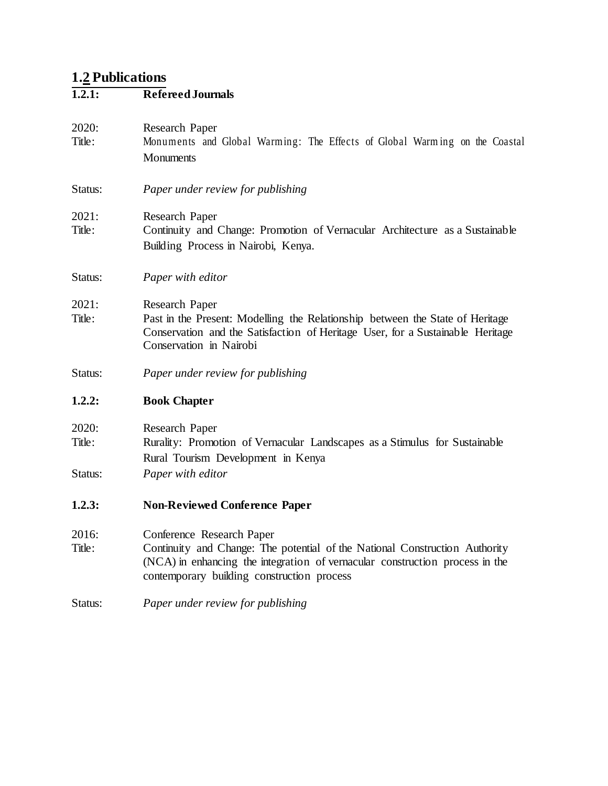### **1.2 Publications**

#### **1.2.1: Refereed Journals**

- 2020: Research Paper Title: Monuments and Global Warming: The Effects of Global Warm ing on the Coastal **Monuments**
- Status: *Paper under review for publishing*
- 2021: Research Paper
- Title: Continuity and Change: Promotion of Vernacular Architecture as a Sustainable Building Process in Nairobi, Kenya.
- Status: *Paper with editor*
- 2021: Research Paper
- Title: Past in the Present: Modelling the Relationship between the State of Heritage Conservation and the Satisfaction of Heritage User, for a Sustainable Heritage Conservation in Nairobi
- Status: *Paper under review for publishing*

#### **1.2.2: Book Chapter**

- 2020: Research Paper
- Title: Rurality: Promotion of Vernacular Landscapes as a Stimulus for Sustainable Rural Tourism Development in Kenya
- Status: *Paper with editor*
- **1.2.3: Non-Reviewed Conference Paper**
- 2016: Conference Research Paper
- Title: Continuity and Change: The potential of the National Construction Authority (NCA) in enhancing the integration of vernacular construction process in the contemporary building construction process
- Status: *Paper under review for publishing*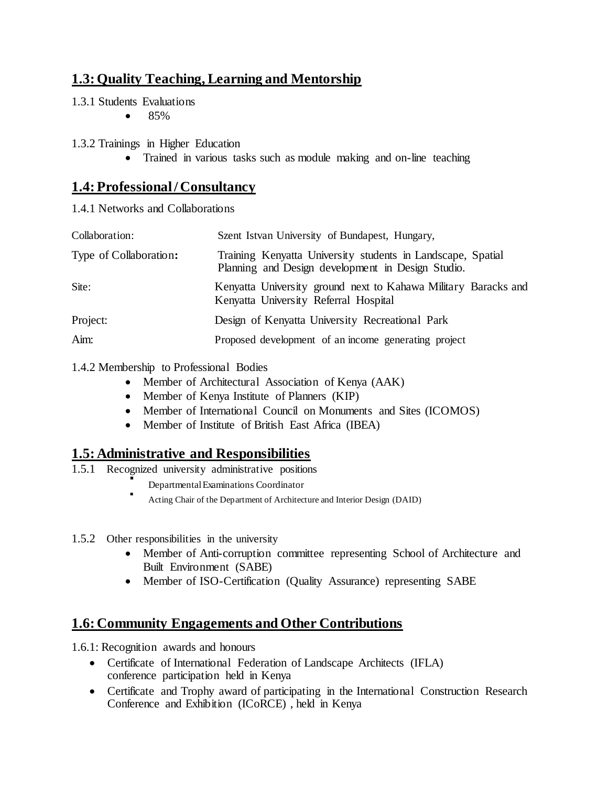# **1.3: Quality Teaching, Learning and Mentorship**

- 1.3.1 Students Evaluations
	- $\bullet$  85%

1.3.2 Trainings in Higher Education

Trained in various tasks such as module making and on-line teaching

# **1.4: Professional / Consultancy**

1.4.1 Networks and Collaborations

| Collaboration:         | Szent Istvan University of Bundapest, Hungary,                                                                   |
|------------------------|------------------------------------------------------------------------------------------------------------------|
| Type of Collaboration: | Training Kenyatta University students in Landscape, Spatial<br>Planning and Design development in Design Studio. |
| Site:                  | Kenyatta University ground next to Kahawa Military Baracks and<br>Kenyatta University Referral Hospital          |
| Project:               | Design of Kenyatta University Recreational Park                                                                  |
| Aim:                   | Proposed development of an income generating project                                                             |

### 1.4.2 Membership to Professional Bodies

- Member of Architectural Association of Kenya (AAK)
- Member of Kenya Institute of Planners (KIP)
- Member of International Council on Monuments and Sites (ICOMOS)
- Member of Institute of British East Africa (IBEA)

# **1.5: Administrative and Responsibilities**

- 1.5.1 Recognized university administrative positions ĭ
	- Departmental Examinations Coordinator
	- . Acting Chair of the Department of Architecture and Interior Design (DAID)
- 1.5.2 Other responsibilities in the university
	- Member of Anti-corruption committee representing School of Architecture and Built Environment (SABE)
	- Member of ISO-Certification (Quality Assurance) representing SABE

# **1.6: Community Engagements and Other Contributions**

1.6.1: Recognition awards and honours

- Certificate of International Federation of Landscape Architects (IFLA) conference participation held in Kenya
- Certificate and Trophy award of participating in the International Construction Research Conference and Exhibition (ICoRCE) , held in Kenya